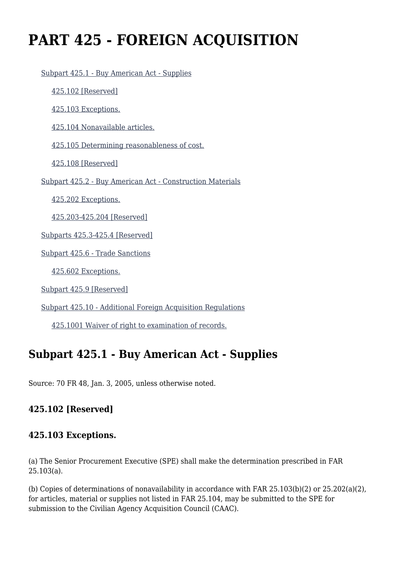# **PART 425 - FOREIGN ACQUISITION**

```
 Subpart 425.1 - Buy American Act - Supplies
  425.102 [Reserved]
  425.103 Exceptions.
  425.104 Nonavailable articles.
  425.105 Determining reasonableness of cost.
  425.108 [Reserved]
Subpart 425.2 - Buy American Act - Construction Materials
  425.202 Exceptions.
  425.203-425.204 [Reserved]
Subparts 425.3-425.4 [Reserved]
Subpart 425.6 - Trade Sanctions
  425.602 Exceptions.
Subpart 425.9 [Reserved]
```
[Subpart 425.10 - Additional Foreign Acquisition Regulations](https://origin-www.acquisition.gov/%5Brp:link:agar-part-425%5D#Subpart_425_10_T48_40214256)

[425.1001 Waiver of right to examination of records.](https://origin-www.acquisition.gov/%5Brp:link:agar-part-425%5D#Section_425_1001_T48_4021425611)

# **Subpart 425.1 - Buy American Act - Supplies**

Source: 70 FR 48, Jan. 3, 2005, unless otherwise noted.

### **425.102 [Reserved]**

#### **425.103 Exceptions.**

(a) The Senior Procurement Executive (SPE) shall make the determination prescribed in FAR 25.103(a).

(b) Copies of determinations of nonavailability in accordance with FAR 25.103(b)(2) or 25.202(a)(2), for articles, material or supplies not listed in FAR 25.104, may be submitted to the SPE for submission to the Civilian Agency Acquisition Council (CAAC).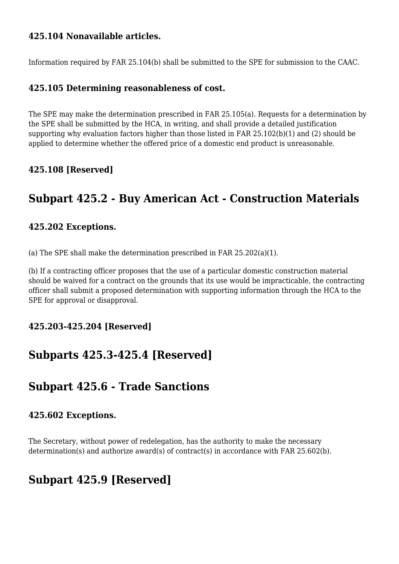#### **425.104 Nonavailable articles.**

Information required by FAR 25.104(b) shall be submitted to the SPE for submission to the CAAC.

#### **425.105 Determining reasonableness of cost.**

The SPE may make the determination prescribed in FAR 25.105(a). Requests for a determination by the SPE shall be submitted by the HCA, in writing, and shall provide a detailed justification supporting why evaluation factors higher than those listed in FAR 25.102(b)(1) and (2) should be applied to determine whether the offered price of a domestic end product is unreasonable.

#### **425.108 [Reserved]**

# **Subpart 425.2 - Buy American Act - Construction Materials**

#### **425.202 Exceptions.**

(a) The SPE shall make the determination prescribed in FAR 25.202(a)(1).

(b) If a contracting officer proposes that the use of a particular domestic construction material should be waived for a contract on the grounds that its use would be impracticable, the contracting officer shall submit a proposed determination with supporting information through the HCA to the SPE for approval or disapproval.

#### **425.203-425.204 [Reserved]**

## **Subparts 425.3-425.4 [Reserved]**

### **Subpart 425.6 - Trade Sanctions**

#### **425.602 Exceptions.**

The Secretary, without power of redelegation, has the authority to make the necessary determination(s) and authorize award(s) of contract(s) in accordance with FAR 25.602(b).

## **Subpart 425.9 [Reserved]**